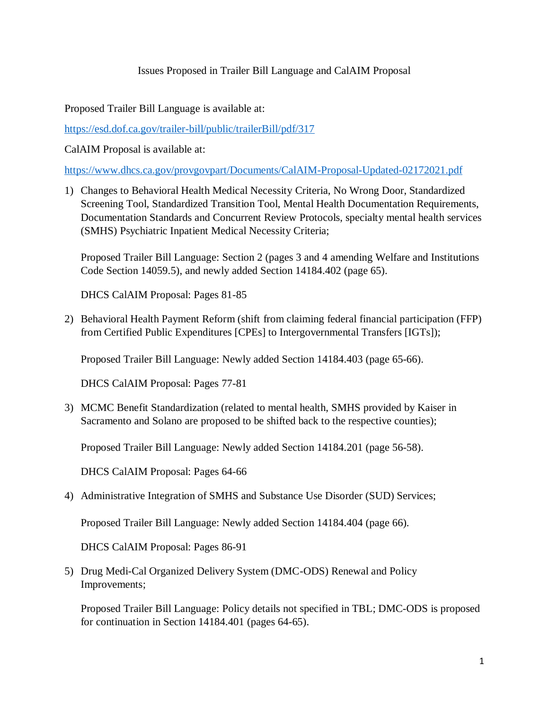## Issues Proposed in Trailer Bill Language and CalAIM Proposal

Proposed Trailer Bill Language is available at:

<https://esd.dof.ca.gov/trailer-bill/public/trailerBill/pdf/317>

CalAIM Proposal is available at:

<https://www.dhcs.ca.gov/provgovpart/Documents/CalAIM-Proposal-Updated-02172021.pdf>

1) Changes to Behavioral Health Medical Necessity Criteria, No Wrong Door, Standardized Screening Tool, Standardized Transition Tool, Mental Health Documentation Requirements, Documentation Standards and Concurrent Review Protocols, specialty mental health services (SMHS) Psychiatric Inpatient Medical Necessity Criteria;

Proposed Trailer Bill Language: Section 2 (pages 3 and 4 amending Welfare and Institutions Code Section 14059.5), and newly added Section 14184.402 (page 65).

DHCS CalAIM Proposal: Pages 81-85

2) Behavioral Health Payment Reform (shift from claiming federal financial participation (FFP) from Certified Public Expenditures [CPEs] to Intergovernmental Transfers [IGTs]);

Proposed Trailer Bill Language: Newly added Section 14184.403 (page 65-66).

DHCS CalAIM Proposal: Pages 77-81

3) MCMC Benefit Standardization (related to mental health, SMHS provided by Kaiser in Sacramento and Solano are proposed to be shifted back to the respective counties);

Proposed Trailer Bill Language: Newly added Section 14184.201 (page 56-58).

DHCS CalAIM Proposal: Pages 64-66

4) Administrative Integration of SMHS and Substance Use Disorder (SUD) Services;

Proposed Trailer Bill Language: Newly added Section 14184.404 (page 66).

DHCS CalAIM Proposal: Pages 86-91

5) Drug Medi-Cal Organized Delivery System (DMC-ODS) Renewal and Policy Improvements;

Proposed Trailer Bill Language: Policy details not specified in TBL; DMC-ODS is proposed for continuation in Section 14184.401 (pages 64-65).